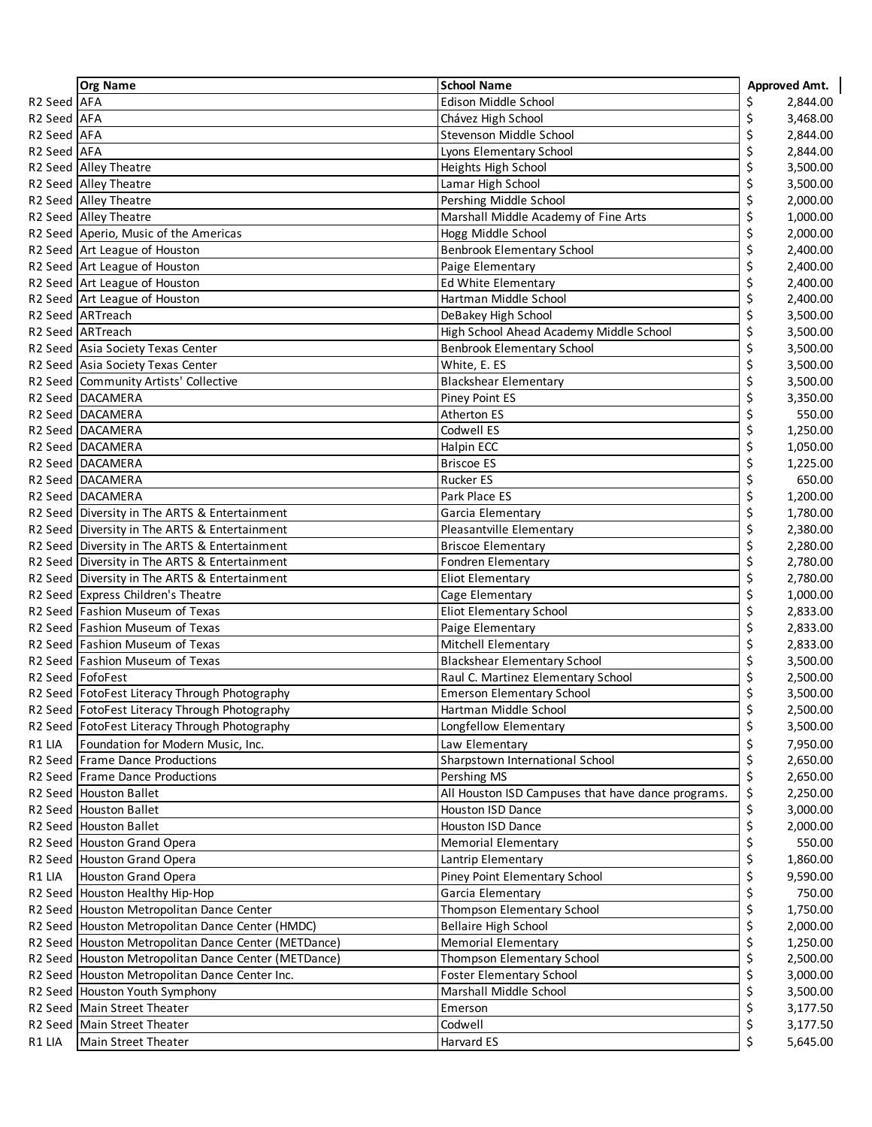|             | <b>Org Name</b>                                                              | <b>School Name</b>                                                |          | Approved Amt.        |
|-------------|------------------------------------------------------------------------------|-------------------------------------------------------------------|----------|----------------------|
| R2 Seed AFA |                                                                              | Edison Middle School                                              | \$       | 2,844.00             |
| R2 Seed AFA |                                                                              | Chávez High School                                                | \$       | 3,468.00             |
| R2 Seed AFA |                                                                              | Stevenson Middle School                                           | \$       | 2,844.00             |
| R2 Seed AFA |                                                                              | Lyons Elementary School                                           | \$       | 2,844.00             |
|             | R2 Seed Alley Theatre                                                        | Heights High School                                               | \$       | 3,500.00             |
|             | R2 Seed Alley Theatre                                                        | Lamar High School                                                 | \$       | 3,500.00             |
|             | R2 Seed Alley Theatre                                                        | Pershing Middle School                                            | \$       | 2,000.00             |
|             | R2 Seed Alley Theatre                                                        | Marshall Middle Academy of Fine Arts                              | \$       | 1,000.00             |
|             | R2 Seed Aperio, Music of the Americas                                        | Hogg Middle School                                                | \$       | 2,000.00             |
|             | R2 Seed Art League of Houston                                                | <b>Benbrook Elementary School</b>                                 | \$       | 2,400.00             |
|             | R2 Seed Art League of Houston                                                | Paige Elementary                                                  | \$       | 2,400.00             |
|             | R2 Seed Art League of Houston                                                | Ed White Elementary                                               | \$       | 2,400.00             |
|             | R2 Seed Art League of Houston                                                | Hartman Middle School                                             | \$       | 2,400.00             |
|             | R2 Seed ARTreach                                                             | DeBakey High School                                               | \$       | 3,500.00             |
|             | R <sub>2</sub> Seed ARTreach                                                 | High School Ahead Academy Middle School                           | \$       | 3,500.00             |
|             | R2 Seed Asia Society Texas Center                                            | <b>Benbrook Elementary School</b>                                 | \$       | 3,500.00             |
|             | R2 Seed Asia Society Texas Center                                            | White, E. ES                                                      | \$       | 3,500.00             |
|             | R2 Seed Community Artists' Collective                                        | <b>Blackshear Elementary</b>                                      | \$       | 3,500.00             |
|             | R2 Seed DACAMERA                                                             | Piney Point ES                                                    | \$       | 3,350.00             |
|             | R2 Seed DACAMERA                                                             | <b>Atherton ES</b>                                                | \$       | 550.00               |
|             | R2 Seed DACAMERA                                                             | Codwell ES                                                        | \$       | 1,250.00             |
|             | R2 Seed DACAMERA                                                             | Halpin ECC                                                        | \$       | 1,050.00             |
|             | R2 Seed DACAMERA                                                             | <b>Briscoe ES</b>                                                 | \$       | 1,225.00             |
|             | R2 Seed DACAMERA                                                             | <b>Rucker ES</b>                                                  | \$       | 650.00               |
|             | R2 Seed DACAMERA                                                             | Park Place ES                                                     | \$       | 1,200.00             |
|             | R2 Seed Diversity in The ARTS & Entertainment                                | Garcia Elementary                                                 | \$       | 1,780.00             |
|             | R2 Seed Diversity in The ARTS & Entertainment                                | Pleasantville Elementary                                          | \$       | 2,380.00             |
|             | R2 Seed Diversity in The ARTS & Entertainment                                | <b>Briscoe Elementary</b>                                         | \$       | 2,280.00             |
|             | R2 Seed Diversity in The ARTS & Entertainment                                | Fondren Elementary                                                | \$       | 2,780.00             |
|             | R2 Seed Diversity in The ARTS & Entertainment                                | Eliot Elementary                                                  | \$       | 2,780.00             |
|             | R2 Seed Express Children's Theatre                                           | Cage Elementary                                                   | \$       | 1,000.00             |
|             | R2 Seed Fashion Museum of Texas                                              | Eliot Elementary School                                           | \$       | 2,833.00             |
|             | R2 Seed Fashion Museum of Texas                                              | Paige Elementary                                                  | \$       | 2,833.00             |
|             | R2 Seed Fashion Museum of Texas                                              | Mitchell Elementary                                               | \$       | 2,833.00             |
|             | R2 Seed Fashion Museum of Texas                                              | <b>Blackshear Elementary School</b>                               | \$       | 3,500.00             |
|             | R2 Seed FofoFest                                                             | Raul C. Martinez Elementary School                                | \$       | 2,500.00             |
|             | R2 Seed FotoFest Literacy Through Photography                                | <b>Emerson Elementary School</b>                                  | \$<br>ς  | 3,500.00             |
|             | R2 Seed FotoFest Literacy Through Photography                                | Hartman Middle School                                             |          | 2,500.00             |
|             | R2 Seed   FotoFest Literacy Through Photography                              | Longfellow Elementary                                             | \$       | 3,500.00             |
| R1 LIA      | Foundation for Modern Music, Inc.                                            | Law Elementary                                                    | \$       | 7,950.00             |
|             | R2 Seed Frame Dance Productions<br>R2 Seed Frame Dance Productions           | Sharpstown International School                                   | \$       | 2,650.00             |
|             |                                                                              | Pershing MS<br>All Houston ISD Campuses that have dance programs. | \$       | 2,650.00             |
|             | R <sub>2</sub> Seed Houston Ballet<br>R2 Seed Houston Ballet                 | Houston ISD Dance                                                 | \$       | 2,250.00<br>3,000.00 |
|             | R2 Seed Houston Ballet                                                       | <b>Houston ISD Dance</b>                                          | \$<br>\$ | 2,000.00             |
|             | R2 Seed Houston Grand Opera                                                  | <b>Memorial Elementary</b>                                        | \$       | 550.00               |
|             | R2 Seed Houston Grand Opera                                                  | Lantrip Elementary                                                | \$       | 1,860.00             |
| R1 LIA      | Houston Grand Opera                                                          | Piney Point Elementary School                                     |          | 9,590.00             |
|             |                                                                              | Garcia Elementary                                                 | \$       | 750.00               |
|             | R2 Seed Houston Healthy Hip-Hop<br>R2 Seed Houston Metropolitan Dance Center | Thompson Elementary School                                        | \$<br>\$ | 1,750.00             |
|             | R2 Seed Houston Metropolitan Dance Center (HMDC)                             | <b>Bellaire High School</b>                                       | \$       | 2,000.00             |
|             | R2 Seed   Houston Metropolitan Dance Center (METDance)                       | <b>Memorial Elementary</b>                                        | \$       | 1,250.00             |
|             | R2 Seed Houston Metropolitan Dance Center (METDance)                         | Thompson Elementary School                                        | \$       | 2,500.00             |
|             | R2 Seed Houston Metropolitan Dance Center Inc.                               | <b>Foster Elementary School</b>                                   | \$       | 3,000.00             |
|             | R2 Seed Houston Youth Symphony                                               | Marshall Middle School                                            | \$       | 3,500.00             |
|             | R2 Seed Main Street Theater                                                  | Emerson                                                           | \$       | 3,177.50             |
|             | R2 Seed   Main Street Theater                                                | Codwell                                                           | \$       | 3,177.50             |
| R1 LIA      | Main Street Theater                                                          | Harvard ES                                                        | \$       | 5,645.00             |
|             |                                                                              |                                                                   |          |                      |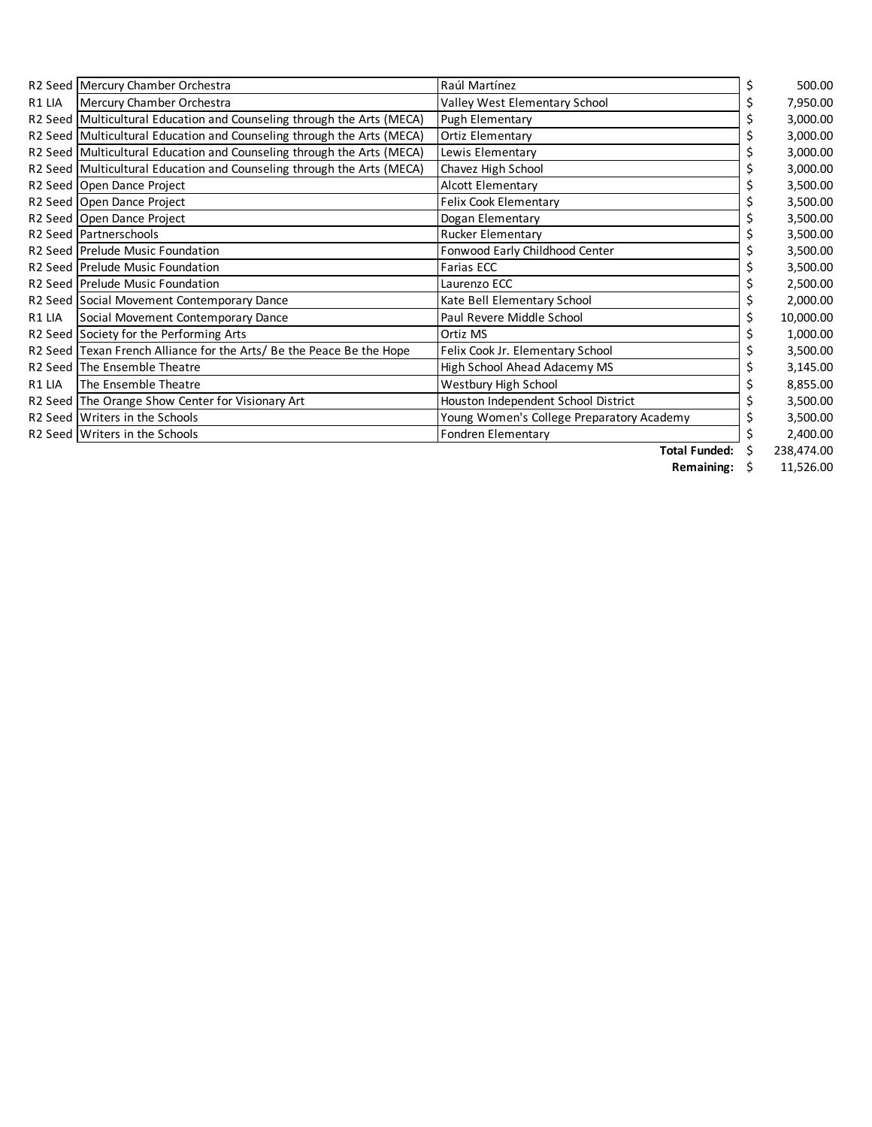|        | R2 Seed Mercury Chamber Orchestra                                      | Raúl Martínez                             | 500.00     |
|--------|------------------------------------------------------------------------|-------------------------------------------|------------|
| R1 LIA | Mercury Chamber Orchestra                                              | Valley West Elementary School             | 7,950.00   |
|        | R2 Seed Multicultural Education and Counseling through the Arts (MECA) | Pugh Elementary                           | 3,000.00   |
|        | R2 Seed Multicultural Education and Counseling through the Arts (MECA) | Ortiz Elementary                          | 3,000.00   |
|        | R2 Seed Multicultural Education and Counseling through the Arts (MECA) | Lewis Elementary                          | 3,000.00   |
|        | R2 Seed Multicultural Education and Counseling through the Arts (MECA) | Chavez High School                        | 3,000.00   |
|        | R2 Seed Open Dance Project                                             | Alcott Elementary                         | 3,500.00   |
|        | R2 Seed Open Dance Project                                             | Felix Cook Elementary                     | 3,500.00   |
|        | R2 Seed Open Dance Project                                             | Dogan Elementary                          | 3,500.00   |
|        | R <sub>2</sub> Seed Partnerschools                                     | <b>Rucker Elementary</b>                  | 3,500.00   |
|        | R2 Seed Prelude Music Foundation                                       | Fonwood Early Childhood Center            | 3,500.00   |
|        | R2 Seed Prelude Music Foundation                                       | Farias ECC                                | 3,500.00   |
|        | R2 Seed Prelude Music Foundation                                       | Laurenzo ECC                              | 2,500.00   |
|        | R2 Seed Social Movement Contemporary Dance                             | Kate Bell Elementary School               | 2,000.00   |
| R1 LIA | Social Movement Contemporary Dance                                     | Paul Revere Middle School                 | 10,000.00  |
|        | R2 Seed Society for the Performing Arts                                | Ortiz MS                                  | 1,000.00   |
|        | R2 Seed Texan French Alliance for the Arts/ Be the Peace Be the Hope   | Felix Cook Jr. Elementary School          | 3,500.00   |
|        | R2 Seed The Ensemble Theatre                                           | High School Ahead Adacemy MS              | 3,145.00   |
| R1 LIA | The Ensemble Theatre                                                   | Westbury High School                      | 8,855.00   |
|        | R2 Seed The Orange Show Center for Visionary Art                       | Houston Independent School District       | 3,500.00   |
|        | R <sub>2</sub> Seed Writers in the Schools                             | Young Women's College Preparatory Academy | 3,500.00   |
|        | R2 Seed Writers in the Schools                                         | Fondren Elementary                        | 2,400.00   |
|        |                                                                        | <b>Total Funded:</b>                      | 238,474.00 |

**Remaining:** \$ 11,526.00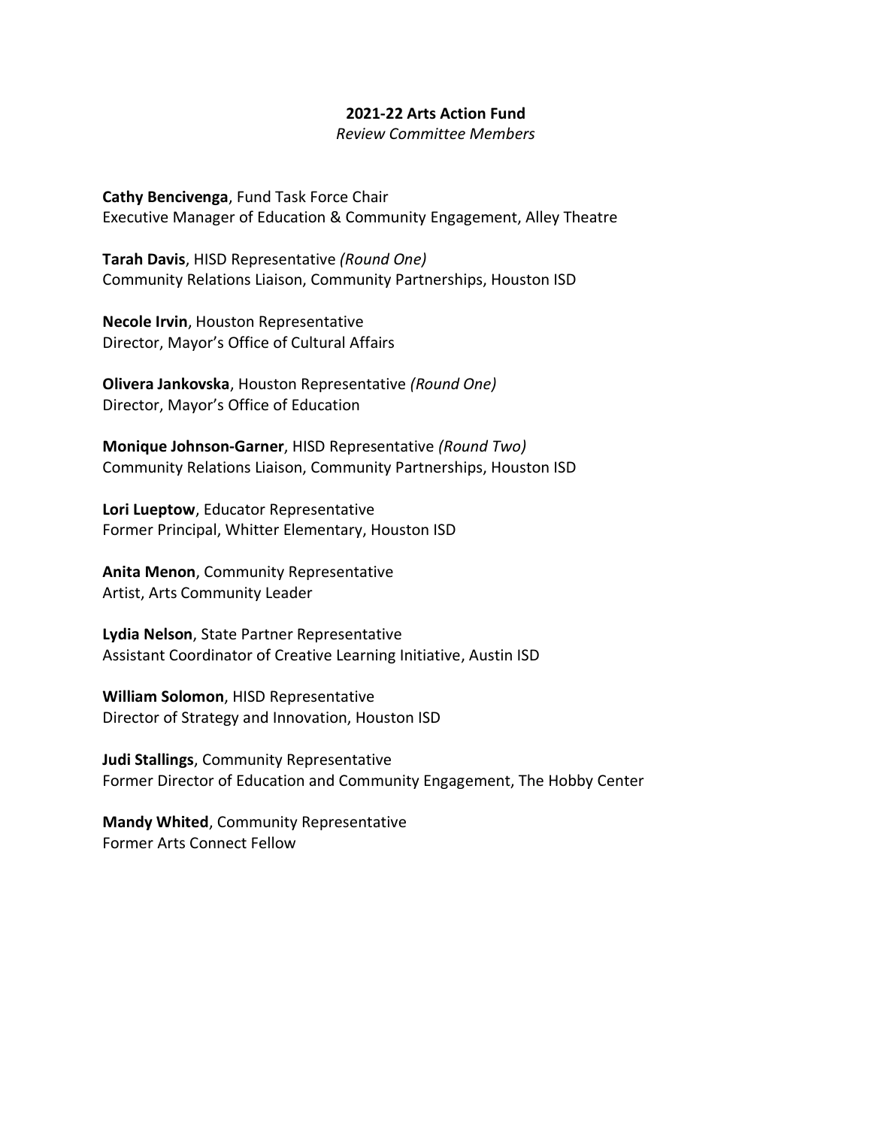## **2021-22 Arts Action Fund**

*Review Committee Members*

**Cathy Bencivenga**, Fund Task Force Chair Executive Manager of Education & Community Engagement, Alley Theatre

**Tarah Davis**, HISD Representative *(Round One)*  Community Relations Liaison, Community Partnerships, Houston ISD

**Necole Irvin**, Houston Representative Director, Mayor's Office of Cultural Affairs

**Olivera Jankovska**, Houston Representative *(Round One)*  Director, Mayor's Office of Education

**Monique Johnson-Garner**, HISD Representative *(Round Two)*  Community Relations Liaison, Community Partnerships, Houston ISD

**Lori Lueptow**, Educator Representative Former Principal, Whitter Elementary, Houston ISD

**Anita Menon**, Community Representative Artist, Arts Community Leader

**Lydia Nelson**, State Partner Representative Assistant Coordinator of Creative Learning Initiative, Austin ISD

**William Solomon**, HISD Representative Director of Strategy and Innovation, Houston ISD

**Judi Stallings**, Community Representative Former Director of Education and Community Engagement, The Hobby Center

**Mandy Whited**, Community Representative Former Arts Connect Fellow